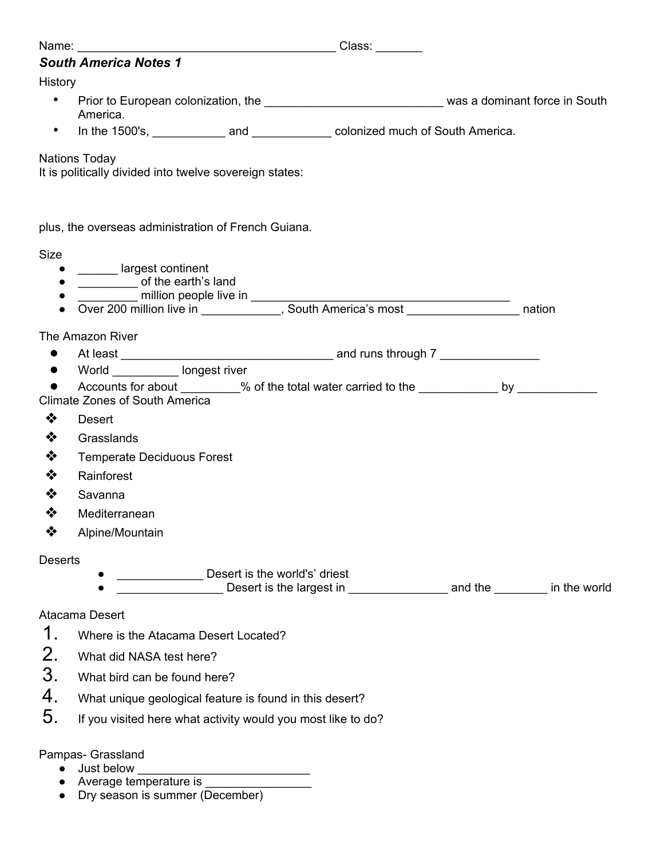| Name:                      |                                                                                                                                        |  |  |  |  |  |
|----------------------------|----------------------------------------------------------------------------------------------------------------------------------------|--|--|--|--|--|
|                            | <b>South America Notes 1</b>                                                                                                           |  |  |  |  |  |
| <b>History</b>             |                                                                                                                                        |  |  |  |  |  |
| $\bullet$                  | America.                                                                                                                               |  |  |  |  |  |
| $\bullet$                  |                                                                                                                                        |  |  |  |  |  |
|                            | <b>Nations Today</b><br>It is politically divided into twelve sovereign states:                                                        |  |  |  |  |  |
|                            | plus, the overseas administration of French Guiana.                                                                                    |  |  |  |  |  |
| Size                       |                                                                                                                                        |  |  |  |  |  |
| $\bullet$                  | argest continent                                                                                                                       |  |  |  |  |  |
|                            | of the earth's land                                                                                                                    |  |  |  |  |  |
|                            | million people live in<br>Over 200 million live in ____________, South America's most ____________________ nation                      |  |  |  |  |  |
|                            | The Amazon River                                                                                                                       |  |  |  |  |  |
| $\bullet$                  |                                                                                                                                        |  |  |  |  |  |
| $\bullet$                  | World <b>Nota</b> longest river                                                                                                        |  |  |  |  |  |
|                            | Accounts for about _________% of the total water carried to the _____________ by ____________<br><b>Climate Zones of South America</b> |  |  |  |  |  |
| ❖                          | <b>Desert</b>                                                                                                                          |  |  |  |  |  |
| ❖                          | Grasslands                                                                                                                             |  |  |  |  |  |
| ❖                          | <b>Temperate Deciduous Forest</b>                                                                                                      |  |  |  |  |  |
| ❖                          | Rainforest                                                                                                                             |  |  |  |  |  |
| ❖                          | Savanna                                                                                                                                |  |  |  |  |  |
| ❖                          | Mediterranean                                                                                                                          |  |  |  |  |  |
| ❖                          | Alpine/Mountain                                                                                                                        |  |  |  |  |  |
| <b>Deserts</b>             | Desert is the world's' driest<br><b>Example 20</b> Desert is the largest in <b>with the set of the set of the set of the world</b>     |  |  |  |  |  |
|                            | Atacama Desert                                                                                                                         |  |  |  |  |  |
| 1.<br>2.<br>3.<br>4.<br>5. | Where is the Atacama Desert Located?                                                                                                   |  |  |  |  |  |
|                            | What did NASA test here?                                                                                                               |  |  |  |  |  |
|                            | What bird can be found here?                                                                                                           |  |  |  |  |  |
|                            | What unique geological feature is found in this desert?                                                                                |  |  |  |  |  |
|                            | If you visited here what activity would you most like to do?                                                                           |  |  |  |  |  |
|                            | Pampas- Grassland<br>Just below                                                                                                        |  |  |  |  |  |

- Average temperature is <u>equal</u>
- Dry season is summer (December)